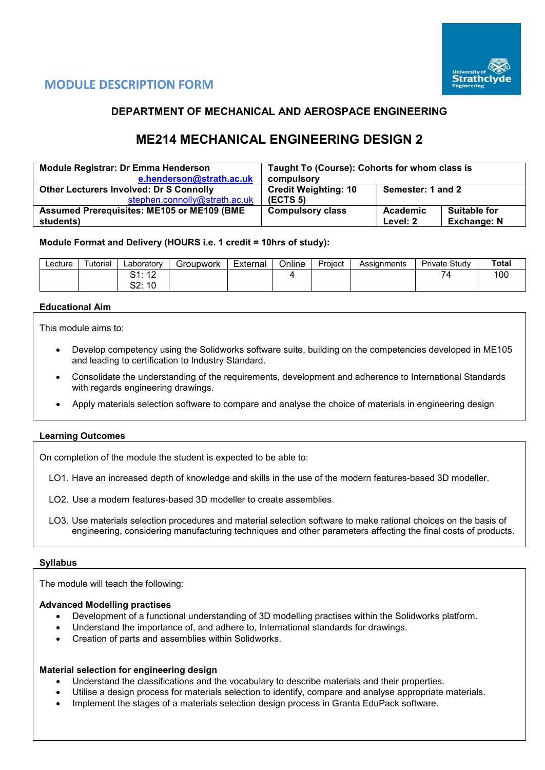

# **MODULE DESCRIPTION FORM**

## **DEPARTMENT OF MECHANICAL AND AEROSPACE ENGINEERING**

# **ME214 MECHANICAL ENGINEERING DESIGN 2**

| <b>Module Registrar: Dr Emma Henderson</b>         | Taught To (Course): Cohorts for whom class is    |          |                     |  |  |  |
|----------------------------------------------------|--------------------------------------------------|----------|---------------------|--|--|--|
| e.henderson@strath.ac.uk                           | compulsory                                       |          |                     |  |  |  |
| <b>Other Lecturers Involved: Dr S Connolly</b>     | <b>Credit Weighting: 10</b><br>Semester: 1 and 2 |          |                     |  |  |  |
| stephen.connolly@strath.ac.uk                      | (ECTS <sub>5</sub> )                             |          |                     |  |  |  |
| <b>Assumed Prerequisites: ME105 or ME109 (BME)</b> | <b>Compulsory class</b>                          | Academic | <b>Suitable for</b> |  |  |  |
| students)                                          |                                                  | Level: 2 | <b>Exchange: N</b>  |  |  |  |

#### **Module Format and Delivery (HOURS i.e. 1 credit = 10hrs of study):**

| ∟ecture | <sup>-</sup> utorial | ∟aboratory                       | Groupwork | External | Online | Project | Assianments | Private Study | <b>Total</b> |
|---------|----------------------|----------------------------------|-----------|----------|--------|---------|-------------|---------------|--------------|
|         |                      | $\sqrt{2}$<br>C 1.<br>. <u>.</u> |           |          |        |         |             | -             | 100          |
|         |                      | rn.<br>10<br>UZ.                 |           |          |        |         |             |               |              |

#### **Educational Aim**

This module aims to:

- Develop competency using the Solidworks software suite, building on the competencies developed in ME105 and leading to certification to Industry Standard.
- Consolidate the understanding of the requirements, development and adherence to International Standards with regards engineering drawings.
- Apply materials selection software to compare and analyse the choice of materials in engineering design

#### **Learning Outcomes**

On completion of the module the student is expected to be able to:

- LO1. Have an increased depth of knowledge and skills in the use of the modern features-based 3D modeller.
- LO2. Use a modern features-based 3D modeller to create assemblies.
- LO3. Use materials selection procedures and material selection software to make rational choices on the basis of engineering, considering manufacturing techniques and other parameters affecting the final costs of products.

#### **Syllabus**

The module will teach the following:

#### **Advanced Modelling practises**

- Development of a functional understanding of 3D modelling practises within the Solidworks platform.
- Understand the importance of, and adhere to, International standards for drawings.
- Creation of parts and assemblies within Solidworks.

#### **Material selection for engineering design**

- Understand the classifications and the vocabulary to describe materials and their properties.
- Utilise a design process for materials selection to identify, compare and analyse appropriate materials.
- Implement the stages of a materials selection design process in Granta EduPack software.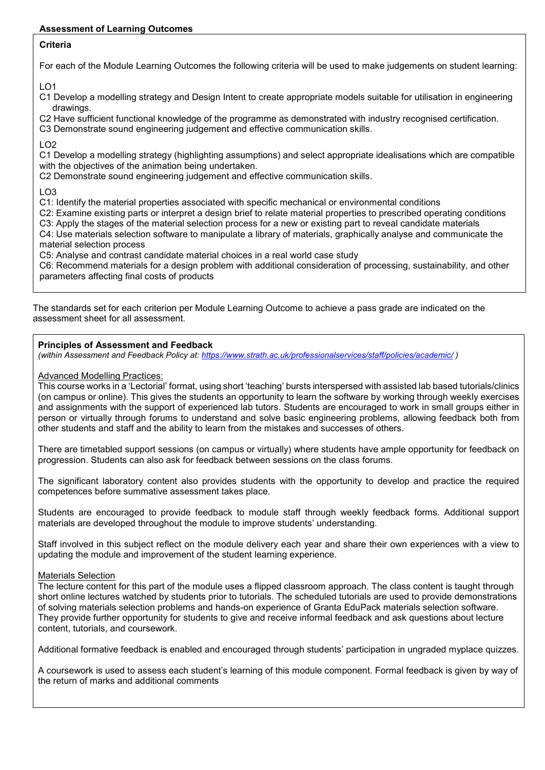## **Assessment of Learning Outcomes**

## **Criteria**

For each of the Module Learning Outcomes the following criteria will be used to make judgements on student learning:

LO1

- C1 Develop a modelling strategy and Design Intent to create appropriate models suitable for utilisation in engineering drawings.
- C2 Have sufficient functional knowledge of the programme as demonstrated with industry recognised certification.

C3 Demonstrate sound engineering judgement and effective communication skills.

 $LO2$ 

C1 Develop a modelling strategy (highlighting assumptions) and select appropriate idealisations which are compatible with the objectives of the animation being undertaken.

C2 Demonstrate sound engineering judgement and effective communication skills.

LO3

C1: Identify the material properties associated with specific mechanical or environmental conditions

C2: Examine existing parts or interpret a design brief to relate material properties to prescribed operating conditions

C3: Apply the stages of the material selection process for a new or existing part to reveal candidate materials C4: Use materials selection software to manipulate a library of materials, graphically analyse and communicate the

material selection process

C5: Analyse and contrast candidate material choices in a real world case study

C6: Recommend materials for a design problem with additional consideration of processing, sustainability, and other parameters affecting final costs of products

The standards set for each criterion per Module Learning Outcome to achieve a pass grade are indicated on the assessment sheet for all assessment.

### **Principles of Assessment and Feedback**

*(within Assessment and Feedback Policy at: <https://www.strath.ac.uk/professionalservices/staff/policies/academic/> )*

### Advanced Modelling Practices:

This course works in a 'Lectorial' format, using short 'teaching' bursts interspersed with assisted lab based tutorials/clinics (on campus or online). This gives the students an opportunity to learn the software by working through weekly exercises and assignments with the support of experienced lab tutors. Students are encouraged to work in small groups either in person or virtually through forums to understand and solve basic engineering problems, allowing feedback both from other students and staff and the ability to learn from the mistakes and successes of others.

There are timetabled support sessions (on campus or virtually) where students have ample opportunity for feedback on progression. Students can also ask for feedback between sessions on the class forums.

The significant laboratory content also provides students with the opportunity to develop and practice the required competences before summative assessment takes place.

Students are encouraged to provide feedback to module staff through weekly feedback forms. Additional support materials are developed throughout the module to improve students' understanding.

Staff involved in this subject reflect on the module delivery each year and share their own experiences with a view to updating the module and improvement of the student learning experience.

#### Materials Selection

The lecture content for this part of the module uses a flipped classroom approach. The class content is taught through short online lectures watched by students prior to tutorials. The scheduled tutorials are used to provide demonstrations of solving materials selection problems and hands-on experience of Granta EduPack materials selection software. They provide further opportunity for students to give and receive informal feedback and ask questions about lecture content, tutorials, and coursework.

Additional formative feedback is enabled and encouraged through students' participation in ungraded myplace quizzes.

A coursework is used to assess each student's learning of this module component. Formal feedback is given by way of the return of marks and additional comments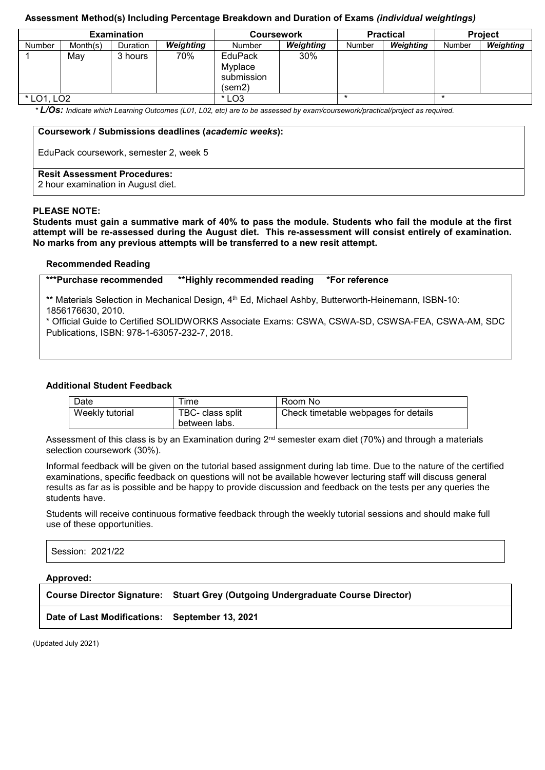#### **Assessment Method(s) Including Percentage Breakdown and Duration of Exams** *(individual weightings)*

|            |          | <b>Examination</b> |           | <b>Coursework</b>                                 |           |               | <b>Practical</b> | <b>Project</b> |                  |  |
|------------|----------|--------------------|-----------|---------------------------------------------------|-----------|---------------|------------------|----------------|------------------|--|
| Number     | Month(s) | <b>Duration</b>    | Weighting | Number                                            | Weighting | <b>Number</b> | Weighting        | Number         | <b>Weighting</b> |  |
|            | Mav      | 3 hours            | 70%       | <b>EduPack</b><br>Myplace<br>submission<br>(sem2) | 30%       |               |                  |                |                  |  |
| * LO1, LO2 |          |                    | $*$ LO3   |                                                   |           |               |                  |                |                  |  |

*\* L/Os: Indicate which Learning Outcomes (L01, L02, etc) are to be assessed by exam/coursework/practical/project as required.*

#### **Coursework / Submissions deadlines (***academic weeks***):**

EduPack coursework, semester 2, week 5

#### **Resit Assessment Procedures:**

2 hour examination in August diet.

#### **PLEASE NOTE:**

**Students must gain a summative mark of 40% to pass the module. Students who fail the module at the first attempt will be re-assessed during the August diet. This re-assessment will consist entirely of examination. No marks from any previous attempts will be transferred to a new resit attempt.**

#### **Recommended Reading**

**\*\*\*Purchase recommended \*\*Highly recommended reading \*For reference**

\*\* Materials Selection in Mechanical Design, 4<sup>th</sup> Ed, Michael Ashby, Butterworth-Heinemann, ISBN-10: 1856176630, 2010.

\* Official Guide to Certified SOLIDWORKS Associate Exams: CSWA, CSWA-SD, CSWSA-FEA, CSWA-AM, SDC Publications, ISBN: 978-1-63057-232-7, 2018.

#### **Additional Student Feedback**

| Date            | <b>ime</b>                        | Room No                              |
|-----------------|-----------------------------------|--------------------------------------|
| Weekly tutorial | TBC- class split<br>between labs. | Check timetable webpages for details |

Assessment of this class is by an Examination during  $2^{nd}$  semester exam diet (70%) and through a materials selection coursework (30%).

Informal feedback will be given on the tutorial based assignment during lab time. Due to the nature of the certified examinations, specific feedback on questions will not be available however lecturing staff will discuss general results as far as is possible and be happy to provide discussion and feedback on the tests per any queries the students have.

Students will receive continuous formative feedback through the weekly tutorial sessions and should make full use of these opportunities.

Session: 2021/22

#### **Approved:**

**Course Director Signature: Stuart Grey (Outgoing Undergraduate Course Director)**

#### **Date of Last Modifications: September 13, 2021**

(Updated July 2021)